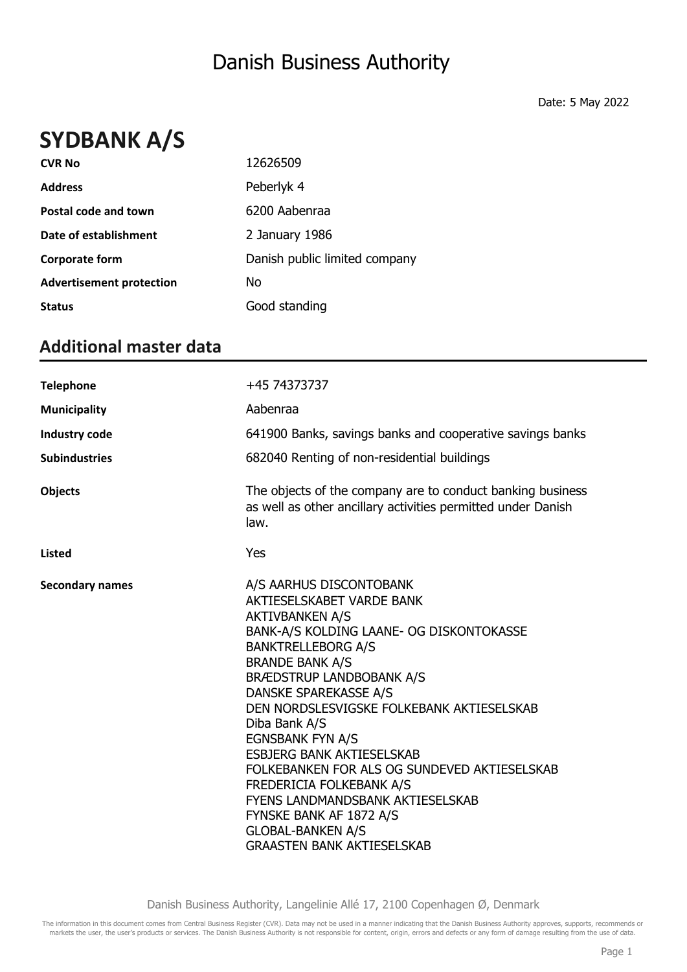## **SYDBANK A/S**

| <b>CVR No</b>                   | 12626509                      |
|---------------------------------|-------------------------------|
| <b>Address</b>                  | Peberlyk 4                    |
| Postal code and town            | 6200 Aabenraa                 |
| Date of establishment           | 2 January 1986                |
| <b>Corporate form</b>           | Danish public limited company |
| <b>Advertisement protection</b> | Νo                            |
| <b>Status</b>                   | Good standing                 |

#### **Additional master data**

| <b>Telephone</b>       | +45 74373737                                                                                                                                                                                                                                                                                                                                                                                                                                                                                                                                                                                  |
|------------------------|-----------------------------------------------------------------------------------------------------------------------------------------------------------------------------------------------------------------------------------------------------------------------------------------------------------------------------------------------------------------------------------------------------------------------------------------------------------------------------------------------------------------------------------------------------------------------------------------------|
| <b>Municipality</b>    | Aabenraa                                                                                                                                                                                                                                                                                                                                                                                                                                                                                                                                                                                      |
| Industry code          | 641900 Banks, savings banks and cooperative savings banks                                                                                                                                                                                                                                                                                                                                                                                                                                                                                                                                     |
| <b>Subindustries</b>   | 682040 Renting of non-residential buildings                                                                                                                                                                                                                                                                                                                                                                                                                                                                                                                                                   |
| <b>Objects</b>         | The objects of the company are to conduct banking business<br>as well as other ancillary activities permitted under Danish<br>law.                                                                                                                                                                                                                                                                                                                                                                                                                                                            |
| <b>Listed</b>          | Yes                                                                                                                                                                                                                                                                                                                                                                                                                                                                                                                                                                                           |
| <b>Secondary names</b> | A/S AARHUS DISCONTOBANK<br>AKTIESELSKABET VARDE BANK<br><b>AKTIVBANKEN A/S</b><br>BANK-A/S KOLDING LAANE- OG DISKONTOKASSE<br><b>BANKTRELLEBORG A/S</b><br><b>BRANDE BANK A/S</b><br><b>BRÆDSTRUP LANDBOBANK A/S</b><br>DANSKE SPAREKASSE A/S<br>DEN NORDSLESVIGSKE FOLKEBANK AKTIESELSKAB<br>Diba Bank A/S<br><b>EGNSBANK FYN A/S</b><br><b>ESBJERG BANK AKTIESELSKAB</b><br>FOLKEBANKEN FOR ALS OG SUNDEVED AKTIESELSKAB<br>FREDERICIA FOLKEBANK A/S<br><b>FYENS LANDMANDSBANK AKTIESELSKAB</b><br>FYNSKE BANK AF 1872 A/S<br><b>GLOBAL-BANKEN A/S</b><br><b>GRAASTEN BANK AKTIESELSKAB</b> |

Danish Business Authority, Langelinie Allé 17, 2100 Copenhagen Ø, Denmark

The information in this document comes from Central Business Register (CVR). Data may not be used in a manner indicating that the Danish Business Authority approves, supports, recommends or markets the user, the user's products or services. The Danish Business Authority is not responsible for content, origin, errors and defects or any form of damage resulting from the use of data.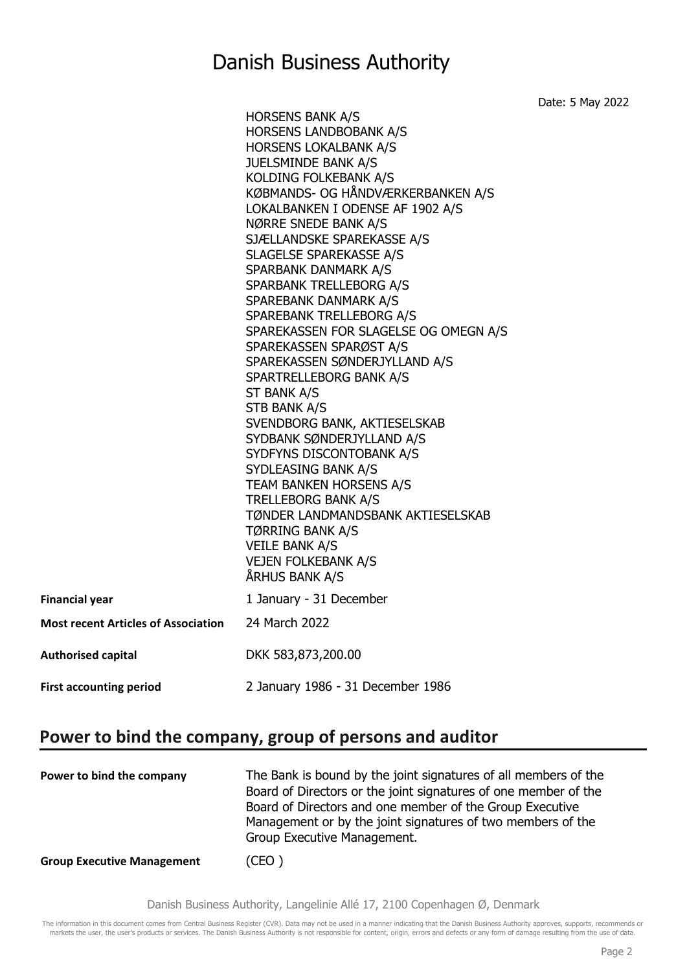Date: 5 May 2022

|                                            | <b>HORSENS BANK A/S</b><br>HORSENS LANDBOBANK A/S<br><b>HORSENS LOKALBANK A/S</b><br><b>JUELSMINDE BANK A/S</b><br>KOLDING FOLKEBANK A/S<br>KØBMANDS- OG HÅNDVÆRKERBANKEN A/S<br>LOKALBANKEN I ODENSE AF 1902 A/S<br>NØRRE SNEDE BANK A/S<br>SJÆLLANDSKE SPAREKASSE A/S<br>SLAGELSE SPAREKASSE A/S<br>SPARBANK DANMARK A/S<br>SPARBANK TRELLEBORG A/S<br>SPAREBANK DANMARK A/S<br>SPAREBANK TRELLEBORG A/S<br>SPAREKASSEN FOR SLAGELSE OG OMEGN A/S<br>SPAREKASSEN SPARØST A/S<br>SPAREKASSEN SØNDERJYLLAND A/S<br>SPARTRELLEBORG BANK A/S<br>ST BANK A/S<br>STB BANK A/S<br>SVENDBORG BANK, AKTIESELSKAB<br>SYDBANK SØNDERJYLLAND A/S<br>SYDFYNS DISCONTOBANK A/S<br>SYDLEASING BANK A/S<br>TEAM BANKEN HORSENS A/S<br><b>TRELLEBORG BANK A/S</b><br>TØNDER LANDMANDSBANK AKTIESELSKAB<br><b>TØRRING BANK A/S</b><br><b>VEILE BANK A/S</b> |
|--------------------------------------------|---------------------------------------------------------------------------------------------------------------------------------------------------------------------------------------------------------------------------------------------------------------------------------------------------------------------------------------------------------------------------------------------------------------------------------------------------------------------------------------------------------------------------------------------------------------------------------------------------------------------------------------------------------------------------------------------------------------------------------------------------------------------------------------------------------------------------------------------|
|                                            | <b>VEJEN FOLKEBANK A/S</b><br>ÅRHUS BANK A/S                                                                                                                                                                                                                                                                                                                                                                                                                                                                                                                                                                                                                                                                                                                                                                                                |
| <b>Financial year</b>                      | 1 January - 31 December                                                                                                                                                                                                                                                                                                                                                                                                                                                                                                                                                                                                                                                                                                                                                                                                                     |
| <b>Most recent Articles of Association</b> | 24 March 2022                                                                                                                                                                                                                                                                                                                                                                                                                                                                                                                                                                                                                                                                                                                                                                                                                               |
| <b>Authorised capital</b>                  | DKK 583,873,200.00                                                                                                                                                                                                                                                                                                                                                                                                                                                                                                                                                                                                                                                                                                                                                                                                                          |
| <b>First accounting period</b>             | 2 January 1986 - 31 December 1986                                                                                                                                                                                                                                                                                                                                                                                                                                                                                                                                                                                                                                                                                                                                                                                                           |

#### **Power to bind the company, group of persons and auditor**

| Power to bind the company         | The Bank is bound by the joint signatures of all members of the<br>Board of Directors or the joint signatures of one member of the<br>Board of Directors and one member of the Group Executive<br>Management or by the joint signatures of two members of the<br>Group Executive Management. |
|-----------------------------------|----------------------------------------------------------------------------------------------------------------------------------------------------------------------------------------------------------------------------------------------------------------------------------------------|
| <b>Group Executive Management</b> | (CEO)                                                                                                                                                                                                                                                                                        |

Danish Business Authority, Langelinie Allé 17, 2100 Copenhagen Ø, Denmark

The information in this document comes from Central Business Register (CVR). Data may not be used in a manner indicating that the Danish Business Authority approves, supports, recommends or markets the user, the user's products or services. The Danish Business Authority is not responsible for content, origin, errors and defects or any form of damage resulting from the use of data.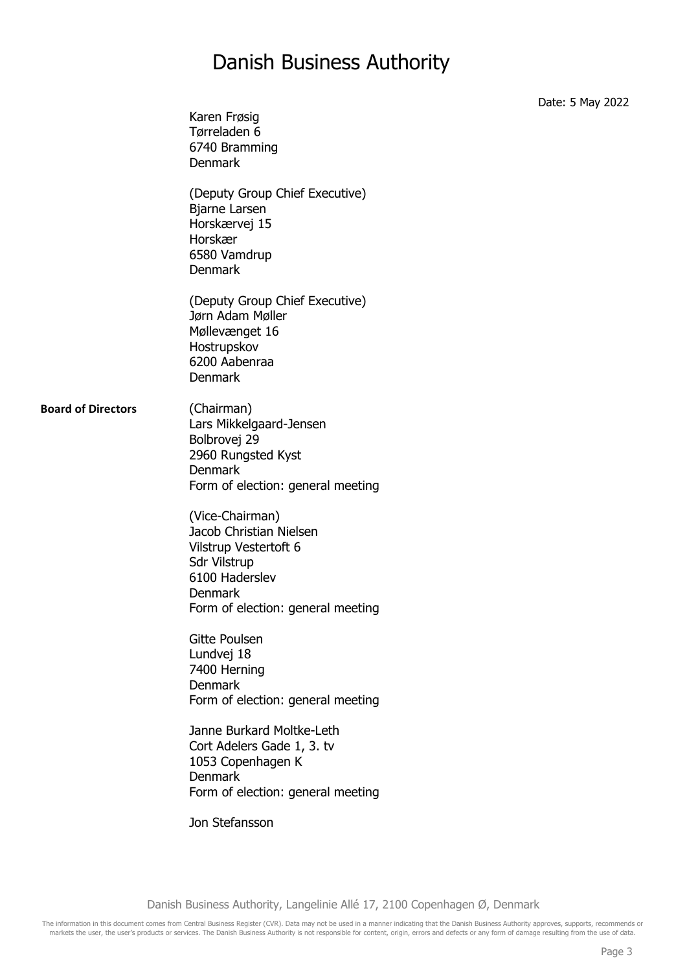Karen Frøsig Tørreladen 6 6740 Bramming Denmark (Deputy Group Chief Executive) Bjarne Larsen Horskærvej 15 Horskær 6580 Vamdrup Denmark (Deputy Group Chief Executive) Jørn Adam Møller Møllevænget 16 Hostrupskov 6200 Aabenraa Denmark **Board of Directors** (Chairman) Lars Mikkelgaard-Jensen Bolbrovej 29 2960 Rungsted Kyst Denmark Form of election: general meeting (Vice-Chairman) Jacob Christian Nielsen Vilstrup Vestertoft 6 Sdr Vilstrup 6100 Haderslev Denmark Form of election: general meeting Gitte Poulsen Lundvej 18 7400 Herning Denmark Form of election: general meeting Janne Burkard Moltke-Leth Cort Adelers Gade 1, 3. tv 1053 Copenhagen K Denmark Form of election: general meeting Jon Stefansson

Date: 5 May 2022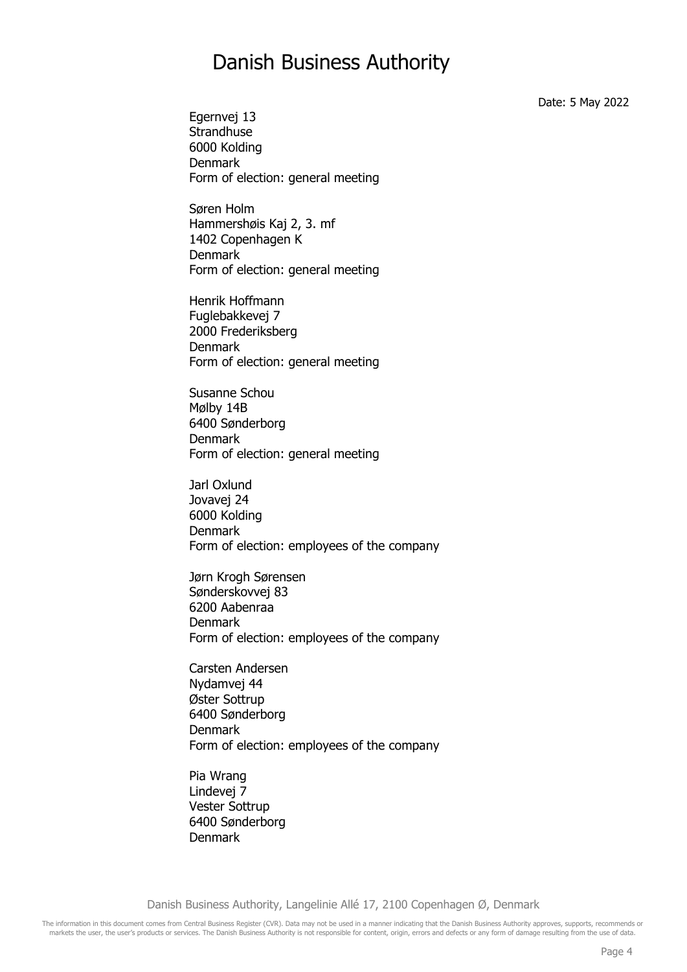Date: 5 May 2022

Egernvej 13 **Strandhuse** 6000 Kolding Denmark Form of election: general meeting

Søren Holm Hammershøis Kaj 2, 3. mf 1402 Copenhagen K Denmark Form of election: general meeting

Henrik Hoffmann Fuglebakkevej 7 2000 Frederiksberg Denmark Form of election: general meeting

Susanne Schou Mølby 14B 6400 Sønderborg Denmark Form of election: general meeting

Jarl Oxlund Jovavej 24 6000 Kolding Denmark Form of election: employees of the company

Jørn Krogh Sørensen Sønderskovvej 83 6200 Aabenraa Denmark Form of election: employees of the company

Carsten Andersen Nydamvej 44 Øster Sottrup 6400 Sønderborg Denmark Form of election: employees of the company

Pia Wrang Lindevej 7 Vester Sottrup 6400 Sønderborg Denmark

Danish Business Authority, Langelinie Allé 17, 2100 Copenhagen Ø, Denmark

The information in this document comes from Central Business Register (CVR). Data may not be used in a manner indicating that the Danish Business Authority approves, supports, recommends or markets the user, the user's products or services. The Danish Business Authority is not responsible for content, origin, errors and defects or any form of damage resulting from the use of data.